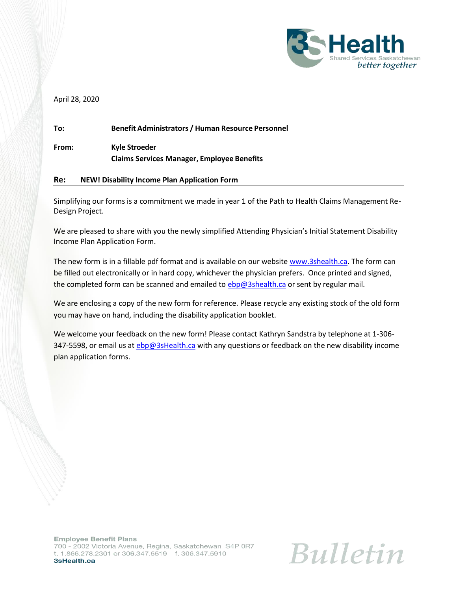

April 28, 2020

| To:   | <b>Benefit Administrators / Human Resource Personnel</b>           |
|-------|--------------------------------------------------------------------|
| From: | Kyle Stroeder<br><b>Claims Services Manager, Employee Benefits</b> |

#### **Re: NEW! Disability Income Plan Application Form**

Simplifying our forms is a commitment we made in year 1 of the Path to Health Claims Management Re-Design Project.

We are pleased to share with you the newly simplified Attending Physician's Initial Statement Disability Income Plan Application Form.

The new form is in a fillable pdf format and is available on our website [www.3shealth.ca.](http://www.3shealth.ca/) The form can be filled out electronically or in hard copy, whichever the physician prefers. Once printed and signed, the completed form can be scanned and emailed to [ebp@3shealth.ca](mailto:ebp@3shealth.ca) or sent by regular mail.

We are enclosing a copy of the new form for reference. Please recycle any existing stock of the old form you may have on hand, including the disability application booklet.

We welcome your feedback on the new form! Please contact Kathryn Sandstra by telephone at 1-306 347-5598, or email us at [ebp@3sHealth.ca](mailto:ebp@3sHealth.ca) with any questions or feedback on the new disability income plan application forms.

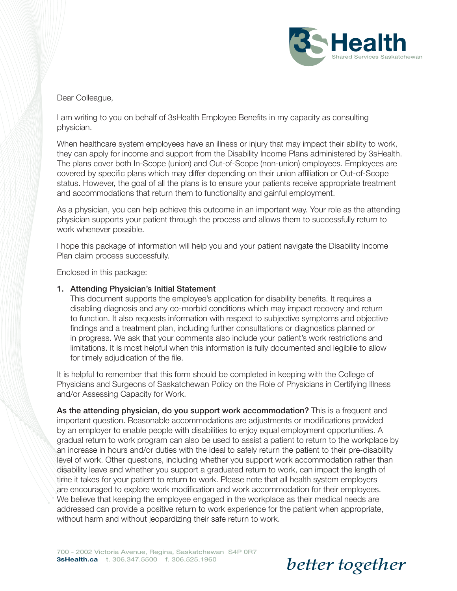

#### Dear Colleague,

I am writing to you on behalf of 3sHealth Employee Benefits in my capacity as consulting physician.

When healthcare system employees have an illness or injury that may impact their ability to work, they can apply for income and support from the Disability Income Plans administered by 3sHealth. The plans cover both In-Scope (union) and Out-of-Scope (non-union) employees. Employees are covered by specific plans which may differ depending on their union affiliation or Out-of-Scope status. However, the goal of all the plans is to ensure your patients receive appropriate treatment and accommodations that return them to functionality and gainful employment.

As a physician, you can help achieve this outcome in an important way. Your role as the attending physician supports your patient through the process and allows them to successfully return to work whenever possible.

I hope this package of information will help you and your patient navigate the Disability Income Plan claim process successfully.

Enclosed in this package:

#### 1. Attending Physician's Initial Statement

This document supports the employee's application for disability benefits. It requires a disabling diagnosis and any co-morbid conditions which may impact recovery and return to function. It also requests information with respect to subjective symptoms and objective findings and a treatment plan, including further consultations or diagnostics planned or in progress. We ask that your comments also include your patient's work restrictions and limitations. It is most helpful when this information is fully documented and legibile to allow for timely adjudication of the file.

It is helpful to remember that this form should be completed in keeping with the College of Physicians and Surgeons of Saskatchewan Policy on the Role of Physicians in Certifying Illness and/or Assessing Capacity for Work.

As the attending physician, do you support work accommodation? This is a frequent and important question. Reasonable accommodations are adjustments or modifications provided by an employer to enable people with disabilities to enjoy equal employment opportunities. A gradual return to work program can also be used to assist a patient to return to the workplace by an increase in hours and/or duties with the ideal to safely return the patient to their pre-disability level of work. Other questions, including whether you support work accommodation rather than disability leave and whether you support a graduated return to work, can impact the length of time it takes for your patient to return to work. Please note that all health system employers are encouraged to explore work modification and work accommodation for their employees. We believe that keeping the employee engaged in the workplace as their medical needs are addressed can provide a positive return to work experience for the patient when appropriate, without harm and without jeopardizing their safe return to work.

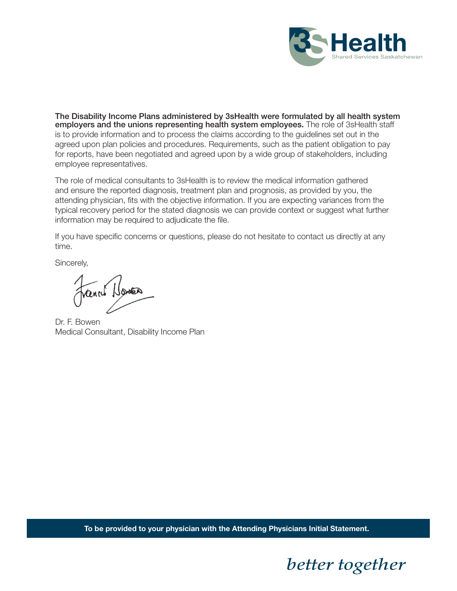

The Disability Income Plans administered by 3sHealth were formulated by all health system employers and the unions representing health system employees. The role of 3sHealth staff is to provide information and to process the claims according to the guidelines set out in the agreed upon plan policies and procedures. Requirements, such as the patient obligation to pay for reports, have been negotiated and agreed upon by a wide group of stakeholders, including employee representatives.

The role of medical consultants to 3sHealth is to review the medical information gathered and ensure the reported diagnosis, treatment plan and prognosis, as provided by you, the attending physician, fits with the objective information. If you are expecting variances from the typical recovery period for the stated diagnosis we can provide context or suggest what further information may be required to adjudicate the file.

If you have specific concerns or questions, please do not hesitate to contact us directly at any time.

Sincerely,

Tranch Homes

Dr. F. Bowen Medical Consultant, Disability Income Plan

**To be provided to your physician with the Attending Physicians Initial Statement.**

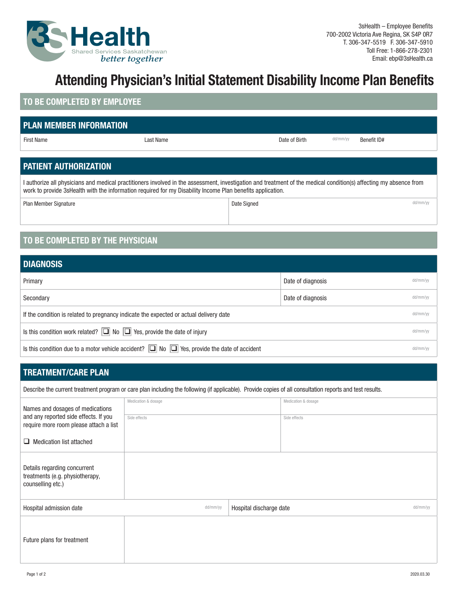

# **Attending Physician's Initial Statement Disability Income Plan Benefits**

### **TO BE COMPLETED BY EMPLOYEE**

## **PLAN MEMBER INFORMATION**

First Name **Example 2 Club Controlled Controlled Controlled Controlled Controlled Controlled Controlled Controlled Controlled Controlled Controlled Controlled Controlled Controlled Controlled Controlled Controlled Controll** 

## **PATIENT AUTHORIZATION**

I authorize all physicians and medical practitioners involved in the assessment, investigation and treatment of the medical condition(s) affecting my absence from work to provide 3sHealth with the information required for my Disability Income Plan benefits application.

Plan Member Signature de de de la contracte de la contracte de la contracte de la contracte de la contracte de de la contracte de la contracte de de la contracte de la contracte de la contracte de la contracte de la contra

## **TO BE COMPLETED BY THE PHYSICIAN**

| <b>DIAGNOSIS</b>                                                                                       |                   |          |  |  |
|--------------------------------------------------------------------------------------------------------|-------------------|----------|--|--|
| Primary                                                                                                | Date of diagnosis | dd/mm/yy |  |  |
| Secondary                                                                                              | Date of diagnosis | dd/mm/yy |  |  |
| If the condition is related to pregnancy indicate the expected or actual delivery date                 |                   |          |  |  |
| Is this condition work related? $\boxed{\square}$ No $\boxed{\square}$ Yes, provide the date of injury |                   |          |  |  |
| Is this condition due to a motor vehicle accident? $\Box$ No $\Box$ Yes, provide the date of accident  |                   |          |  |  |

## **TREATMENT/CARE PLAN**

Describe the current treatment program or care plan including the following (if applicable). Provide copies of all consultation reports and test results.

| Names and dosages of medications                                                     | Medication & dosage |                         | Medication & dosage |          |
|--------------------------------------------------------------------------------------|---------------------|-------------------------|---------------------|----------|
| and any reported side effects. If you<br>require more room please attach a list      | Side effects        |                         | Side effects        |          |
| $\Box$ Medication list attached                                                      |                     |                         |                     |          |
| Details regarding concurrent<br>treatments (e.g. physiotherapy,<br>counselling etc.) |                     |                         |                     |          |
| Hospital admission date                                                              | dd/mm/yy            | Hospital discharge date |                     | dd/mm/yy |
| Future plans for treatment                                                           |                     |                         |                     |          |